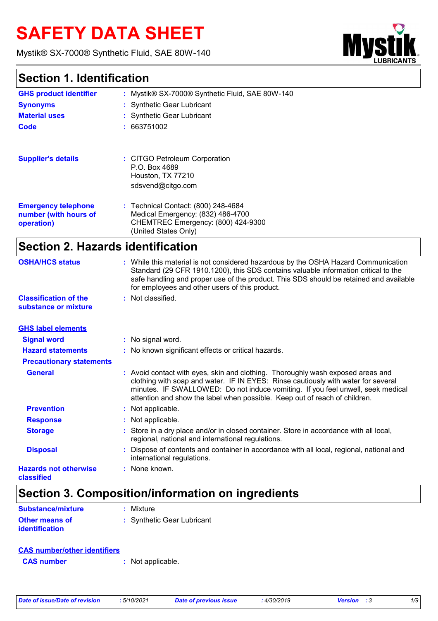# **SAFETY DATA SHEET**

Mystik® SX-7000® Synthetic Fluid, SAE 80W-140



### **Section 1. Identification**

| <b>GHS product identifier</b>                                     | Mystik® SX-7000® Synthetic Fluid, SAE 80W-140                                                                                                                                                                                                                                                                         |
|-------------------------------------------------------------------|-----------------------------------------------------------------------------------------------------------------------------------------------------------------------------------------------------------------------------------------------------------------------------------------------------------------------|
| <b>Synonyms</b>                                                   | : Synthetic Gear Lubricant                                                                                                                                                                                                                                                                                            |
| <b>Material uses</b>                                              | : Synthetic Gear Lubricant                                                                                                                                                                                                                                                                                            |
| Code                                                              | : 663751002                                                                                                                                                                                                                                                                                                           |
| <b>Supplier's details</b>                                         | : CITGO Petroleum Corporation<br>P.O. Box 4689<br>Houston, TX 77210<br>sdsvend@citgo.com                                                                                                                                                                                                                              |
| <b>Emergency telephone</b><br>number (with hours of<br>operation) | : Technical Contact: (800) 248-4684<br>Medical Emergency: (832) 486-4700<br>CHEMTREC Emergency: (800) 424-9300<br>(United States Only)                                                                                                                                                                                |
| <b>Section 2. Hazards identification</b>                          |                                                                                                                                                                                                                                                                                                                       |
| <b>OSHA/HCS status</b>                                            | : While this material is not considered hazardous by the OSHA Hazard Communication<br>Standard (29 CFR 1910.1200), this SDS contains valuable information critical to the<br>safe handling and proper use of the product. This SDS should be retained and available<br>for employees and other users of this product. |
| <b>Classification of the</b>                                      | Not classified.                                                                                                                                                                                                                                                                                                       |

| substance or mixture |  |
|----------------------|--|

| <b>GHS label elements</b>                  |                                                                                                                                                                                                                                                                                                                                       |
|--------------------------------------------|---------------------------------------------------------------------------------------------------------------------------------------------------------------------------------------------------------------------------------------------------------------------------------------------------------------------------------------|
| <b>Signal word</b>                         | : No signal word.                                                                                                                                                                                                                                                                                                                     |
| <b>Hazard statements</b>                   | : No known significant effects or critical hazards.                                                                                                                                                                                                                                                                                   |
| <b>Precautionary statements</b>            |                                                                                                                                                                                                                                                                                                                                       |
| <b>General</b>                             | : Avoid contact with eyes, skin and clothing. Thoroughly wash exposed areas and<br>clothing with soap and water. IF IN EYES: Rinse cautiously with water for several<br>minutes. IF SWALLOWED: Do not induce vomiting. If you feel unwell, seek medical<br>attention and show the label when possible. Keep out of reach of children. |
| <b>Prevention</b>                          | : Not applicable.                                                                                                                                                                                                                                                                                                                     |
| <b>Response</b>                            | : Not applicable.                                                                                                                                                                                                                                                                                                                     |
| <b>Storage</b>                             | : Store in a dry place and/or in closed container. Store in accordance with all local,<br>regional, national and international regulations.                                                                                                                                                                                           |
| <b>Disposal</b>                            | Dispose of contents and container in accordance with all local, regional, national and<br>international regulations.                                                                                                                                                                                                                  |
| <b>Hazards not otherwise</b><br>classified | : None known.                                                                                                                                                                                                                                                                                                                         |

## **Section 3. Composition/information on ingredients**

| Substance/mixture                              | : Mixture                  |
|------------------------------------------------|----------------------------|
| <b>Other means of</b><br><i>identification</i> | : Synthetic Gear Lubricant |

| <b>CAS number/other identifiers</b> |                   |
|-------------------------------------|-------------------|
| <b>CAS number</b>                   | : Not applicable. |

|  | Date of issue/Date of revision |  |  |
|--|--------------------------------|--|--|
|  |                                |  |  |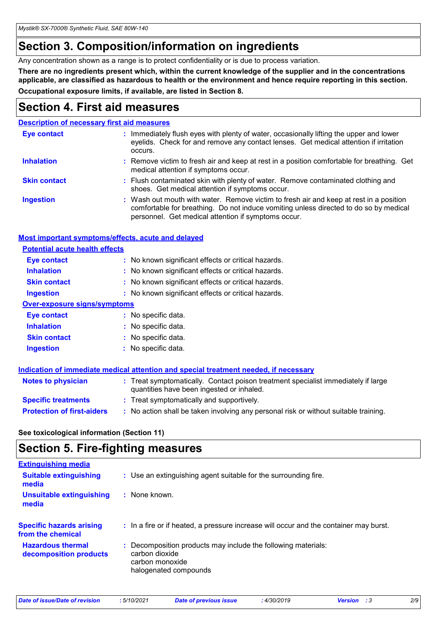## **Section 3. Composition/information on ingredients**

Any concentration shown as a range is to protect confidentiality or is due to process variation.

**There are no ingredients present which, within the current knowledge of the supplier and in the concentrations applicable, are classified as hazardous to health or the environment and hence require reporting in this section. Occupational exposure limits, if available, are listed in Section 8.**

### **Section 4. First aid measures**

#### **Description of necessary first aid measures**

| <b>Eye contact</b>  | : Immediately flush eyes with plenty of water, occasionally lifting the upper and lower<br>eyelids. Check for and remove any contact lenses. Get medical attention if irritation<br>occurs.                                            |
|---------------------|----------------------------------------------------------------------------------------------------------------------------------------------------------------------------------------------------------------------------------------|
| <b>Inhalation</b>   | : Remove victim to fresh air and keep at rest in a position comfortable for breathing. Get<br>medical attention if symptoms occur.                                                                                                     |
| <b>Skin contact</b> | : Flush contaminated skin with plenty of water. Remove contaminated clothing and<br>shoes. Get medical attention if symptoms occur.                                                                                                    |
| <b>Ingestion</b>    | : Wash out mouth with water. Remove victim to fresh air and keep at rest in a position<br>comfortable for breathing. Do not induce vomiting unless directed to do so by medical<br>personnel. Get medical attention if symptoms occur. |

### **Most important symptoms/effects, acute and delayed**

| <b>Potential acute health effects</b> |                                                     |
|---------------------------------------|-----------------------------------------------------|
| <b>Eye contact</b>                    | : No known significant effects or critical hazards. |
| <b>Inhalation</b>                     | : No known significant effects or critical hazards. |
| <b>Skin contact</b>                   | : No known significant effects or critical hazards. |
| <b>Ingestion</b>                      | : No known significant effects or critical hazards. |
| <b>Over-exposure signs/symptoms</b>   |                                                     |
| <b>Eye contact</b>                    | : No specific data.                                 |
| <b>Inhalation</b>                     | : No specific data.                                 |
| <b>Skin contact</b>                   | : No specific data.                                 |
| <b>Ingestion</b>                      | : No specific data.                                 |
|                                       |                                                     |

|                                   | Indication of immediate medical attention and special treatment needed, if necessary                                           |  |
|-----------------------------------|--------------------------------------------------------------------------------------------------------------------------------|--|
| <b>Notes to physician</b>         | : Treat symptomatically. Contact poison treatment specialist immediately if large<br>quantities have been ingested or inhaled. |  |
| <b>Specific treatments</b>        | : Treat symptomatically and supportively.                                                                                      |  |
| <b>Protection of first-aiders</b> | : No action shall be taken involving any personal risk or without suitable training.                                           |  |

### **See toxicological information (Section 11)**

### **Section 5. Fire-fighting measures**

| <b>Extinguishing media</b>                           |                                                                                                                             |
|------------------------------------------------------|-----------------------------------------------------------------------------------------------------------------------------|
| <b>Suitable extinguishing</b><br>media               | : Use an extinguishing agent suitable for the surrounding fire.                                                             |
| <b>Unsuitable extinguishing</b><br>media             | $\therefore$ None known.                                                                                                    |
| <b>Specific hazards arising</b><br>from the chemical | : In a fire or if heated, a pressure increase will occur and the container may burst.                                       |
| <b>Hazardous thermal</b><br>decomposition products   | : Decomposition products may include the following materials:<br>carbon dioxide<br>carbon monoxide<br>halogenated compounds |

| Date of issue/Date of revision | 5/10/2021 | <b>Date of previous issue</b> | 4/30/2019 | <b>Version</b> : 3 | 2/9 |
|--------------------------------|-----------|-------------------------------|-----------|--------------------|-----|
|                                |           |                               |           |                    |     |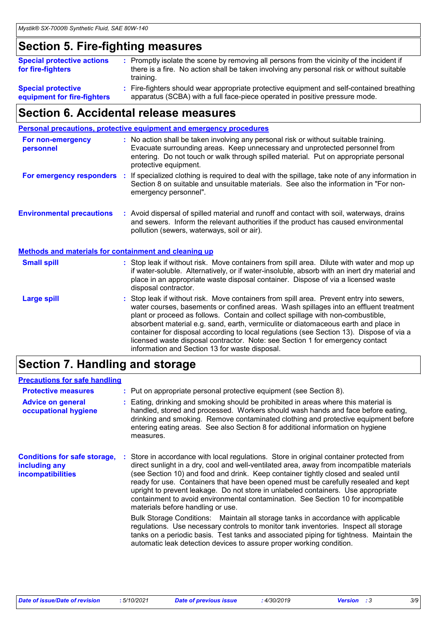## **Section 5. Fire-fighting measures**

| <b>Special protective actions</b><br>for fire-fighters   | : Promptly isolate the scene by removing all persons from the vicinity of the incident if<br>there is a fire. No action shall be taken involving any personal risk or without suitable<br>training. |
|----------------------------------------------------------|-----------------------------------------------------------------------------------------------------------------------------------------------------------------------------------------------------|
| <b>Special protective</b><br>equipment for fire-fighters | : Fire-fighters should wear appropriate protective equipment and self-contained breathing<br>apparatus (SCBA) with a full face-piece operated in positive pressure mode.                            |

### **Section 6. Accidental release measures**

|                                                              | Personal precautions, protective equipment and emergency procedures                                                                                                                                                                                                                                                                                                                                                                                                                                                                                                                        |
|--------------------------------------------------------------|--------------------------------------------------------------------------------------------------------------------------------------------------------------------------------------------------------------------------------------------------------------------------------------------------------------------------------------------------------------------------------------------------------------------------------------------------------------------------------------------------------------------------------------------------------------------------------------------|
| For non-emergency<br>personnel                               | : No action shall be taken involving any personal risk or without suitable training.<br>Evacuate surrounding areas. Keep unnecessary and unprotected personnel from<br>entering. Do not touch or walk through spilled material. Put on appropriate personal<br>protective equipment.                                                                                                                                                                                                                                                                                                       |
|                                                              | For emergency responders : If specialized clothing is required to deal with the spillage, take note of any information in<br>Section 8 on suitable and unsuitable materials. See also the information in "For non-<br>emergency personnel".                                                                                                                                                                                                                                                                                                                                                |
| <b>Environmental precautions</b>                             | : Avoid dispersal of spilled material and runoff and contact with soil, waterways, drains<br>and sewers. Inform the relevant authorities if the product has caused environmental<br>pollution (sewers, waterways, soil or air).                                                                                                                                                                                                                                                                                                                                                            |
| <b>Methods and materials for containment and cleaning up</b> |                                                                                                                                                                                                                                                                                                                                                                                                                                                                                                                                                                                            |
| <b>Small spill</b>                                           | : Stop leak if without risk. Move containers from spill area. Dilute with water and mop up<br>if water-soluble. Alternatively, or if water-insoluble, absorb with an inert dry material and<br>place in an appropriate waste disposal container. Dispose of via a licensed waste<br>disposal contractor.                                                                                                                                                                                                                                                                                   |
| <b>Large spill</b>                                           | : Stop leak if without risk. Move containers from spill area. Prevent entry into sewers,<br>water courses, basements or confined areas. Wash spillages into an effluent treatment<br>plant or proceed as follows. Contain and collect spillage with non-combustible,<br>absorbent material e.g. sand, earth, vermiculite or diatomaceous earth and place in<br>container for disposal according to local regulations (see Section 13). Dispose of via a<br>licensed waste disposal contractor. Note: see Section 1 for emergency contact<br>information and Section 13 for waste disposal. |

## **Section 7. Handling and storage**

### **Precautions for safe handling**

| <b>Protective measures</b><br><b>Advice on general</b><br>occupational hygiene   | : Put on appropriate personal protective equipment (see Section 8).<br>Eating, drinking and smoking should be prohibited in areas where this material is<br>handled, stored and processed. Workers should wash hands and face before eating,<br>drinking and smoking. Remove contaminated clothing and protective equipment before<br>entering eating areas. See also Section 8 for additional information on hygiene<br>measures.                                                                                                                                                                                                                                                                                                                                                                                                                                                                                                 |
|----------------------------------------------------------------------------------|------------------------------------------------------------------------------------------------------------------------------------------------------------------------------------------------------------------------------------------------------------------------------------------------------------------------------------------------------------------------------------------------------------------------------------------------------------------------------------------------------------------------------------------------------------------------------------------------------------------------------------------------------------------------------------------------------------------------------------------------------------------------------------------------------------------------------------------------------------------------------------------------------------------------------------|
| <b>Conditions for safe storage,</b><br>including any<br><b>incompatibilities</b> | : Store in accordance with local regulations. Store in original container protected from<br>direct sunlight in a dry, cool and well-ventilated area, away from incompatible materials<br>(see Section 10) and food and drink. Keep container tightly closed and sealed until<br>ready for use. Containers that have been opened must be carefully resealed and kept<br>upright to prevent leakage. Do not store in unlabeled containers. Use appropriate<br>containment to avoid environmental contamination. See Section 10 for incompatible<br>materials before handling or use.<br>Bulk Storage Conditions: Maintain all storage tanks in accordance with applicable<br>regulations. Use necessary controls to monitor tank inventories. Inspect all storage<br>tanks on a periodic basis. Test tanks and associated piping for tightness. Maintain the<br>automatic leak detection devices to assure proper working condition. |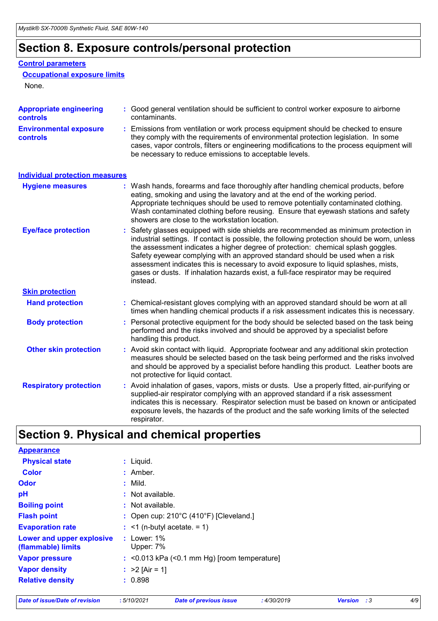## **Section 8. Exposure controls/personal protection**

### **Control parameters**

#### **Occupational exposure limits**

None.

| <b>Appropriate engineering</b><br><b>controls</b> |    | : Good general ventilation should be sufficient to control worker exposure to airborne<br>contaminants.                                                                                                                                                                                                                                                                                                                                                                                                                                           |
|---------------------------------------------------|----|---------------------------------------------------------------------------------------------------------------------------------------------------------------------------------------------------------------------------------------------------------------------------------------------------------------------------------------------------------------------------------------------------------------------------------------------------------------------------------------------------------------------------------------------------|
| <b>Environmental exposure</b><br><b>controls</b>  |    | : Emissions from ventilation or work process equipment should be checked to ensure<br>they comply with the requirements of environmental protection legislation. In some<br>cases, vapor controls, filters or engineering modifications to the process equipment will<br>be necessary to reduce emissions to acceptable levels.                                                                                                                                                                                                                   |
| <b>Individual protection measures</b>             |    |                                                                                                                                                                                                                                                                                                                                                                                                                                                                                                                                                   |
| <b>Hygiene measures</b>                           |    | : Wash hands, forearms and face thoroughly after handling chemical products, before<br>eating, smoking and using the lavatory and at the end of the working period.<br>Appropriate techniques should be used to remove potentially contaminated clothing.<br>Wash contaminated clothing before reusing. Ensure that eyewash stations and safety<br>showers are close to the workstation location.                                                                                                                                                 |
| <b>Eye/face protection</b>                        | ÷. | Safety glasses equipped with side shields are recommended as minimum protection in<br>industrial settings. If contact is possible, the following protection should be worn, unless<br>the assessment indicates a higher degree of protection: chemical splash goggles.<br>Safety eyewear complying with an approved standard should be used when a risk<br>assessment indicates this is necessary to avoid exposure to liquid splashes, mists,<br>gases or dusts. If inhalation hazards exist, a full-face respirator may be required<br>instead. |
| <b>Skin protection</b>                            |    |                                                                                                                                                                                                                                                                                                                                                                                                                                                                                                                                                   |
| <b>Hand protection</b>                            |    | : Chemical-resistant gloves complying with an approved standard should be worn at all<br>times when handling chemical products if a risk assessment indicates this is necessary.                                                                                                                                                                                                                                                                                                                                                                  |
| <b>Body protection</b>                            | t. | Personal protective equipment for the body should be selected based on the task being<br>performed and the risks involved and should be approved by a specialist before<br>handling this product.                                                                                                                                                                                                                                                                                                                                                 |
| <b>Other skin protection</b>                      |    | : Avoid skin contact with liquid. Appropriate footwear and any additional skin protection<br>measures should be selected based on the task being performed and the risks involved<br>and should be approved by a specialist before handling this product. Leather boots are<br>not protective for liquid contact.                                                                                                                                                                                                                                 |
| <b>Respiratory protection</b>                     |    | : Avoid inhalation of gases, vapors, mists or dusts. Use a properly fitted, air-purifying or<br>supplied-air respirator complying with an approved standard if a risk assessment<br>indicates this is necessary. Respirator selection must be based on known or anticipated<br>exposure levels, the hazards of the product and the safe working limits of the selected<br>respirator.                                                                                                                                                             |

## **Section 9. Physical and chemical properties**

| <b>Appearance</b>                               |               |                                                             |
|-------------------------------------------------|---------------|-------------------------------------------------------------|
| <b>Physical state</b>                           | $:$ Liquid.   |                                                             |
| <b>Color</b>                                    | $:$ Amber.    |                                                             |
| Odor                                            | $:$ Mild.     |                                                             |
| pH                                              |               | : Not available.                                            |
| <b>Boiling point</b>                            |               | $:$ Not available.                                          |
| <b>Flash point</b>                              |               | : Open cup: $210^{\circ}$ C (410 $^{\circ}$ F) [Cleveland.] |
| <b>Evaporation rate</b>                         |               | $\div$ <1 (n-butyl acetate. = 1)                            |
| Lower and upper explosive<br>(flammable) limits | $:$ Lower: 1% | Upper: 7%                                                   |
| <b>Vapor pressure</b>                           |               | $:$ <0.013 kPa (<0.1 mm Hg) [room temperature]              |
| <b>Vapor density</b>                            |               | : $>2$ [Air = 1]                                            |
| <b>Relative density</b>                         | : 0.898       |                                                             |
|                                                 |               |                                                             |

*Date of issue/Date of revision* **:** *5/10/2021 Date of previous issue : 4/30/2019 Version : 3 4/9*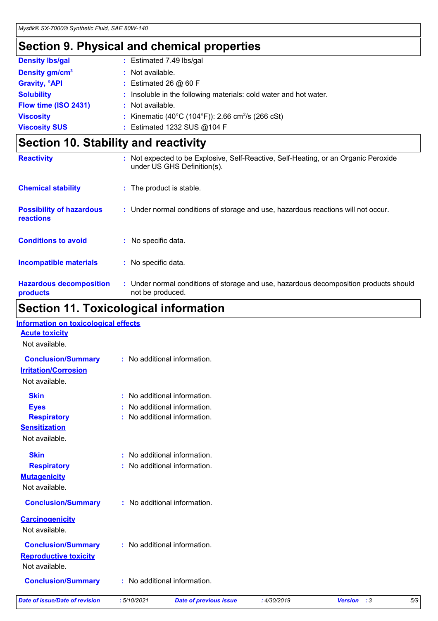## **Section 9. Physical and chemical properties**

| <b>Density Ibs/gal</b>          | : Estimated 7.49 lbs/gal                                          |
|---------------------------------|-------------------------------------------------------------------|
| Density gm/cm <sup>3</sup>      | : Not available.                                                  |
| <b>Gravity, <sup>o</sup>API</b> | : Estimated 26 $@$ 60 F                                           |
| <b>Solubility</b>               | : Insoluble in the following materials: cold water and hot water. |
| Flow time (ISO 2431)            | : Not available.                                                  |
| <b>Viscosity</b>                | : Kinematic (40°C (104°F)): 2.66 cm <sup>2</sup> /s (266 cSt)     |
| <b>Viscosity SUS</b>            | : Estimated 1232 SUS @104 F                                       |

## **Section 10. Stability and reactivity**

| <b>Reactivity</b>                            | : Not expected to be Explosive, Self-Reactive, Self-Heating, or an Organic Peroxide<br>under US GHS Definition(s). |
|----------------------------------------------|--------------------------------------------------------------------------------------------------------------------|
| <b>Chemical stability</b>                    | : The product is stable.                                                                                           |
| <b>Possibility of hazardous</b><br>reactions | : Under normal conditions of storage and use, hazardous reactions will not occur.                                  |
| <b>Conditions to avoid</b>                   | : No specific data.                                                                                                |
| Incompatible materials                       | : No specific data.                                                                                                |
| <b>Hazardous decomposition</b><br>products   | : Under normal conditions of storage and use, hazardous decomposition products should<br>not be produced.          |

## **Section 11. Toxicological information**

| <b>Date of issue/Date of revision</b>                                                      | :5/10/2021 | <b>Date of previous issue</b>                                                            | :4/30/2019 | <b>Version</b> : 3 | 5/9 |
|--------------------------------------------------------------------------------------------|------------|------------------------------------------------------------------------------------------|------------|--------------------|-----|
| <b>Conclusion/Summary</b>                                                                  |            | : No additional information.                                                             |            |                    |     |
| <b>Conclusion/Summary</b><br><b>Reproductive toxicity</b><br>Not available.                |            | : No additional information.                                                             |            |                    |     |
| <b>Carcinogenicity</b><br>Not available.                                                   |            |                                                                                          |            |                    |     |
| <b>Conclusion/Summary</b>                                                                  |            | : No additional information.                                                             |            |                    |     |
| <b>Skin</b><br><b>Respiratory</b><br><b>Mutagenicity</b><br>Not available.                 |            | No additional information.<br>: No additional information.                               |            |                    |     |
| <b>Skin</b><br><b>Eyes</b><br><b>Respiratory</b><br><b>Sensitization</b><br>Not available. |            | : No additional information.<br>No additional information.<br>No additional information. |            |                    |     |
| <b>Conclusion/Summary</b><br><b>Irritation/Corrosion</b><br>Not available.                 |            | : No additional information.                                                             |            |                    |     |
| <b>Information on toxicological effects</b><br><b>Acute toxicity</b><br>Not available.     |            |                                                                                          |            |                    |     |
|                                                                                            |            |                                                                                          |            |                    |     |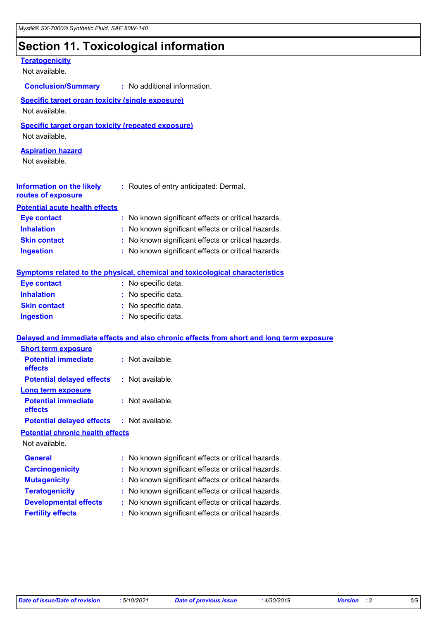## **Section 11. Toxicological information**

| <b>Teratogenicity</b><br>Not available.                                     |                                                                                          |
|-----------------------------------------------------------------------------|------------------------------------------------------------------------------------------|
|                                                                             | <b>Conclusion/Summary : No additional information.</b>                                   |
| Specific target organ toxicity (single exposure)<br>Not available.          |                                                                                          |
| <b>Specific target organ toxicity (repeated exposure)</b><br>Not available. |                                                                                          |
| <b>Aspiration hazard</b><br>Not available.                                  |                                                                                          |
| Information on the likely<br>routes of exposure                             | : Routes of entry anticipated: Dermal.                                                   |
| <b>Potential acute health effects</b>                                       |                                                                                          |
| <b>Eye contact</b>                                                          | : No known significant effects or critical hazards.                                      |
| <b>Inhalation</b>                                                           | : No known significant effects or critical hazards.                                      |
| <b>Skin contact</b>                                                         | : No known significant effects or critical hazards.                                      |
| <b>Ingestion</b>                                                            | : No known significant effects or critical hazards.                                      |
|                                                                             | <b>Symptoms related to the physical, chemical and toxicological characteristics</b>      |
| <b>Eye contact</b>                                                          | : No specific data.                                                                      |
| <b>Inhalation</b>                                                           | : No specific data.                                                                      |
| <b>Skin contact</b>                                                         | : No specific data.                                                                      |
| <b>Ingestion</b>                                                            | : No specific data.                                                                      |
|                                                                             | Delayed and immediate effects and also chronic effects from short and long term exposure |
| <b>Short term exposure</b>                                                  |                                                                                          |
| <b>Potential immediate</b><br>effects                                       | : Not available.                                                                         |
| <b>Potential delayed effects</b>                                            | : Not available.                                                                         |
| Long term exposure<br><b>Potential immediate</b>                            | : Not available.                                                                         |
| effects<br><b>Potential delayed effects</b>                                 | : Not available.                                                                         |
| <b>Potential chronic health effects</b>                                     |                                                                                          |
| Not available.                                                              |                                                                                          |
| <b>General</b>                                                              | : No known significant effects or critical hazards.                                      |
| <b>Carcinogenicity</b>                                                      | No known significant effects or critical hazards.                                        |
| <b>Mutagenicity</b>                                                         | No known significant effects or critical hazards.                                        |
| <b>Teratogenicity</b>                                                       | No known significant effects or critical hazards.                                        |
| <b>Developmental effects</b>                                                | No known significant effects or critical hazards.                                        |
| <b>Fertility effects</b>                                                    | No known significant effects or critical hazards.                                        |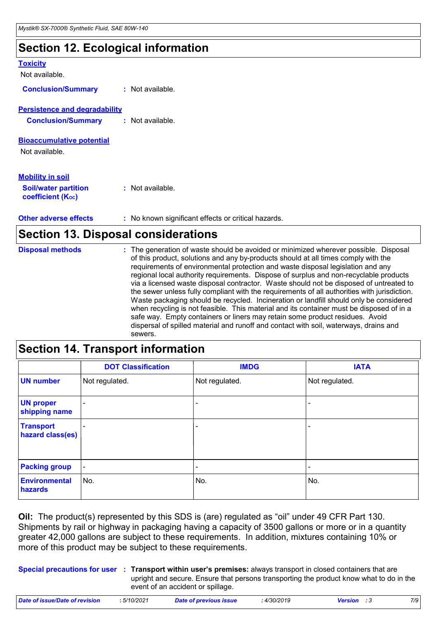## **Section 12. Ecological information**

| <b>Toxicity</b><br>Not available.                                           |                                                     |
|-----------------------------------------------------------------------------|-----------------------------------------------------|
| <b>Conclusion/Summary</b>                                                   | $:$ Not available.                                  |
| <b>Persistence and degradability</b><br><b>Conclusion/Summary</b>           | $:$ Not available.                                  |
| <b>Bioaccumulative potential</b><br>Not available.                          |                                                     |
| <b>Mobility in soil</b><br><b>Soil/water partition</b><br>coefficient (Koc) | $:$ Not available.                                  |
| <b>Other adverse effects</b>                                                | : No known significant effects or critical hazards. |

### **Section 13. Disposal considerations**

| <b>Disposal methods</b> | : The generation of waste should be avoided or minimized wherever possible. Disposal<br>of this product, solutions and any by-products should at all times comply with the<br>requirements of environmental protection and waste disposal legislation and any<br>regional local authority requirements. Dispose of surplus and non-recyclable products<br>via a licensed waste disposal contractor. Waste should not be disposed of untreated to<br>the sewer unless fully compliant with the requirements of all authorities with jurisdiction.<br>Waste packaging should be recycled. Incineration or landfill should only be considered<br>when recycling is not feasible. This material and its container must be disposed of in a<br>safe way. Empty containers or liners may retain some product residues. Avoid<br>dispersal of spilled material and runoff and contact with soil, waterways, drains and |
|-------------------------|-----------------------------------------------------------------------------------------------------------------------------------------------------------------------------------------------------------------------------------------------------------------------------------------------------------------------------------------------------------------------------------------------------------------------------------------------------------------------------------------------------------------------------------------------------------------------------------------------------------------------------------------------------------------------------------------------------------------------------------------------------------------------------------------------------------------------------------------------------------------------------------------------------------------|
|                         | sewers.                                                                                                                                                                                                                                                                                                                                                                                                                                                                                                                                                                                                                                                                                                                                                                                                                                                                                                         |

### **Section 14. Transport information**

|                                      | <b>DOT Classification</b> | <b>IMDG</b>              | <b>IATA</b>              |
|--------------------------------------|---------------------------|--------------------------|--------------------------|
| <b>UN number</b>                     | Not regulated.            | Not regulated.           | Not regulated.           |
| <b>UN proper</b><br>shipping name    | ۰                         | -                        | ٠                        |
| <b>Transport</b><br>hazard class(es) |                           | -                        | $\qquad \qquad$          |
| <b>Packing group</b>                 | $\overline{\phantom{a}}$  | $\overline{\phantom{a}}$ | $\overline{\phantom{a}}$ |
| <b>Environmental</b><br>hazards      | No.                       | No.                      | No.                      |

**Oil:** The product(s) represented by this SDS is (are) regulated as "oil" under 49 CFR Part 130. Shipments by rail or highway in packaging having a capacity of 3500 gallons or more or in a quantity greater 42,000 gallons are subject to these requirements. In addition, mixtures containing 10% or more of this product may be subject to these requirements.

**Special precautions for user Transport within user's premises:** always transport in closed containers that are **:** upright and secure. Ensure that persons transporting the product know what to do in the event of an accident or spillage.

| Date of issue/Date of revision | 5/10/2021 | Date of previous issue | 4/30/2019 | <b>Version</b> : 3 | 7/9 |
|--------------------------------|-----------|------------------------|-----------|--------------------|-----|
|                                |           |                        |           |                    |     |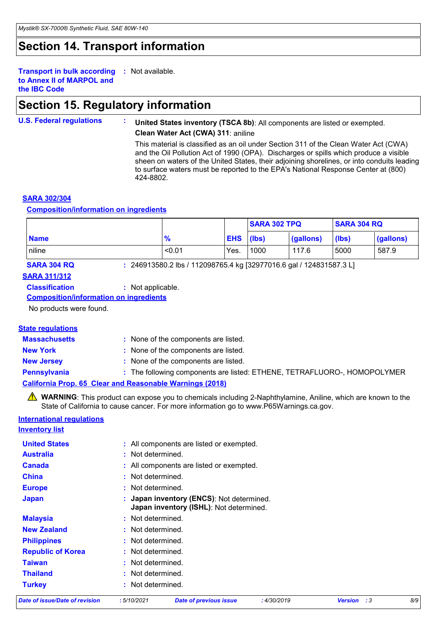## **Section 14. Transport information**

**Transport in bulk according :** Not available. **to Annex II of MARPOL and the IBC Code**

## **Section 15. Regulatory information**

#### **U.S. Federal regulations : United States inventory (TSCA 8b)**: All components are listed or exempted. **Clean Water Act (CWA) 311**: aniline

This material is classified as an oil under Section 311 of the Clean Water Act (CWA) and the Oil Pollution Act of 1990 (OPA). Discharges or spills which produce a visible sheen on waters of the United States, their adjoining shorelines, or into conduits leading to surface waters must be reported to the EPA's National Response Center at (800) 424-8802.

### **SARA 302/304**

#### **Composition/information on ingredients**

|                    |                                                                     |               |            | <b>SARA 302 TPQ</b> |           | <b>SARA 304 RQ</b> |           |
|--------------------|---------------------------------------------------------------------|---------------|------------|---------------------|-----------|--------------------|-----------|
| <b>Name</b>        |                                                                     | $\frac{9}{6}$ | <b>EHS</b> | (lbs)               | (gallons) | (lbs)              | (gallons) |
| niline             |                                                                     | < 0.01        | Yes.       | 1000                | 117.6     | 5000               | 587.9     |
| <b>SARA 304 RQ</b> | : 246913580.2 lbs / 112098765.4 kg [32977016.6 gal / 124831587.3 L] |               |            |                     |           |                    |           |

### **SARA 311/312**

**Classification :** Not applicable.

**Composition/information on ingredients**

No products were found.

### **State regulations**

| <b>Massachusetts</b> | : None of the components are listed.                                     |
|----------------------|--------------------------------------------------------------------------|
| <b>New York</b>      | : None of the components are listed.                                     |
| <b>New Jersey</b>    | : None of the components are listed.                                     |
| <b>Pennsylvania</b>  | : The following components are listed: ETHENE, TETRAFLUORO-, HOMOPOLYMER |
|                      | <b>California Prop. 65 Clear and Reasonable Warnings (2018)</b>          |

**WARNING**: This product can expose you to chemicals including 2-Naphthylamine, Aniline, which are known to the State of California to cause cancer. For more information go to www.P65Warnings.ca.gov.

### **International regulations**

#### **Inventory list**

| Date of issue/Date of revision     | :5/10/2021<br><b>Date of previous issue</b><br>: 4/30/2019                           | <b>Version</b> : 3 | 8/9 |  |  |  |  |
|------------------------------------|--------------------------------------------------------------------------------------|--------------------|-----|--|--|--|--|
| <b>Turkey</b>                      | : Not determined.                                                                    |                    |     |  |  |  |  |
| <b>Thailand</b>                    | : Not determined.                                                                    |                    |     |  |  |  |  |
| <b>Taiwan</b><br>: Not determined. |                                                                                      |                    |     |  |  |  |  |
| <b>Republic of Korea</b>           | : Not determined.<br>: Not determined.<br>: Not determined.                          |                    |     |  |  |  |  |
| <b>Philippines</b>                 |                                                                                      |                    |     |  |  |  |  |
| <b>New Zealand</b>                 |                                                                                      |                    |     |  |  |  |  |
| <b>Malaysia</b>                    | : Not determined.                                                                    |                    |     |  |  |  |  |
| <b>Japan</b>                       | : Japan inventory (ENCS): Not determined.<br>Japan inventory (ISHL): Not determined. |                    |     |  |  |  |  |
| <b>Europe</b>                      | : Not determined.<br>: Not determined.                                               |                    |     |  |  |  |  |
| <b>China</b>                       |                                                                                      |                    |     |  |  |  |  |
| <b>Canada</b>                      | : All components are listed or exempted.                                             |                    |     |  |  |  |  |
| <b>Australia</b>                   |                                                                                      |                    |     |  |  |  |  |
| <b>United States</b>               | : All components are listed or exempted.                                             |                    |     |  |  |  |  |
|                                    |                                                                                      |                    |     |  |  |  |  |